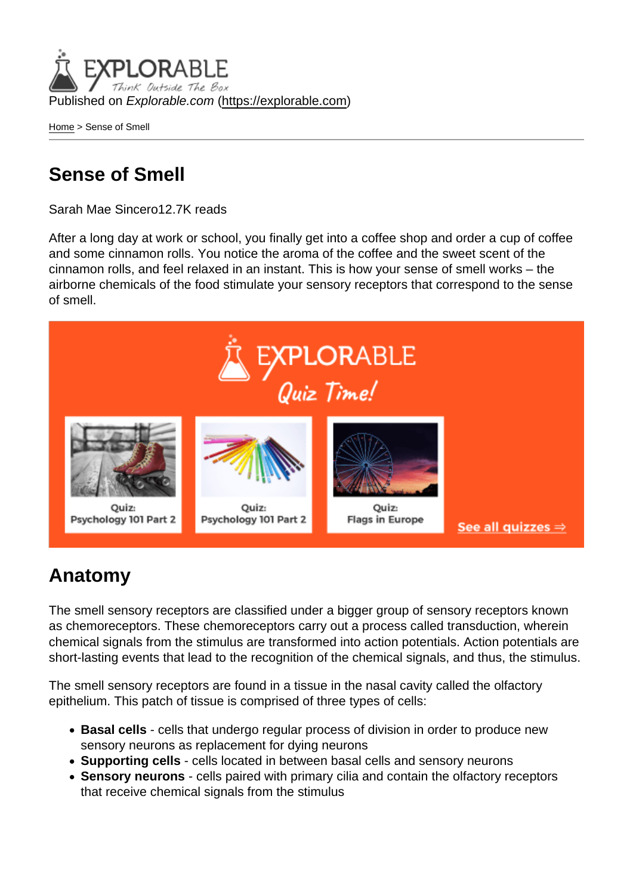Published on Explorable.com (<https://explorable.com>)

[Home](https://explorable.com/) > Sense of Smell

## Sense of Smell

Sarah Mae Sincero12.7K reads

After a long day at work or school, you finally get into a coffee shop and order a cup of coffee and some cinnamon rolls. You notice the aroma of the coffee and the sweet scent of the cinnamon rolls, and feel relaxed in an instant. This is how your sense of smell works – the airborne chemicals of the food stimulate your sensory receptors that correspond to the sense of smell.

## Anatomy

The smell sensory receptors are classified under a bigger group of sensory receptors known as chemoreceptors. These chemoreceptors carry out a process called transduction, wherein chemical signals from the stimulus are transformed into action potentials. Action potentials are short-lasting events that lead to the recognition of the chemical signals, and thus, the stimulus.

The smell sensory receptors are found in a tissue in the nasal cavity called the olfactory epithelium. This patch of tissue is comprised of three types of cells:

- Basal cells cells that undergo regular process of division in order to produce new sensory neurons as replacement for dying neurons
- Supporting cells cells located in between basal cells and sensory neurons
- Sensory neurons cells paired with primary cilia and contain the olfactory receptors that receive chemical signals from the stimulus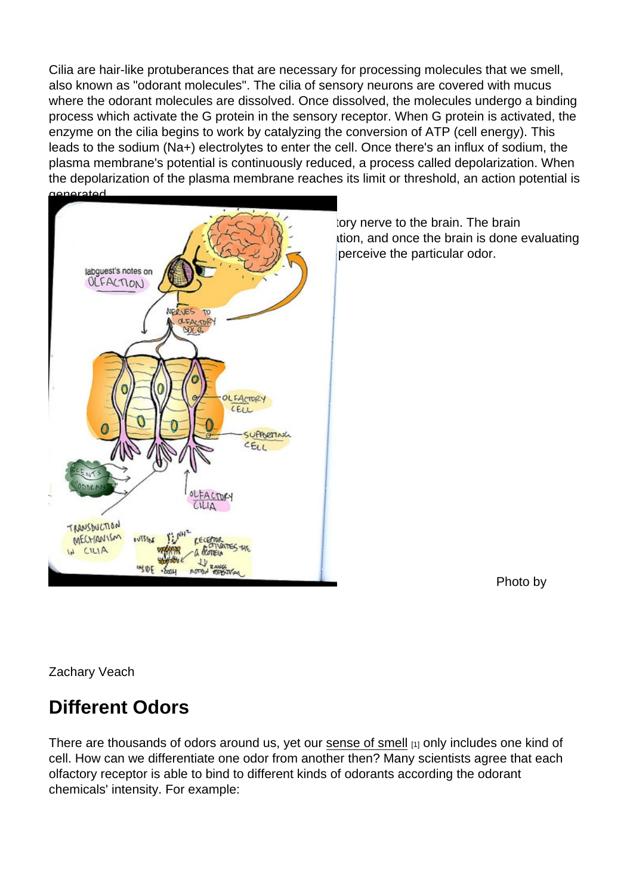Cilia are hair-like protuberances that are necessary for processing molecules that we smell, also known as "odorant molecules". The cilia of sensory neurons are covered with mucus where the odorant molecules are dissolved. Once dissolved, the molecules undergo a binding process which activate the G protein in the sensory receptor. When G protein is activated, the enzyme on the cilia begins to work by catalyzing the conversion of ATP (cell energy). This leads to the sodium (Na+) electrolytes to enter the cell. Once there's an influx of sodium, the plasma membrane's potential is continuously reduced, a process called depolarization. When the depolarization of the plasma membrane reaches its limit or threshold, an action potential is generated.

The action potential is then transferred by the olfactory nerve to the brain. The brain processes the action potential as a sensory information, and once the brain is done evaluating it, a normal person would be able to recognize and perceive the particular odor.

Photo by

Zachary Veach

## Different Odors

There are thousands of odors around us, yet our [sense of smell](http://users.rcn.com/jkimball.ma.ultranet/BiologyPages/O/Olfaction.html) [1] only includes one kind of cell. How can we differentiate one odor from another then? Many scientists agree that each olfactory receptor is able to bind to different kinds of odorants according the odorant chemicals' intensity. For example: